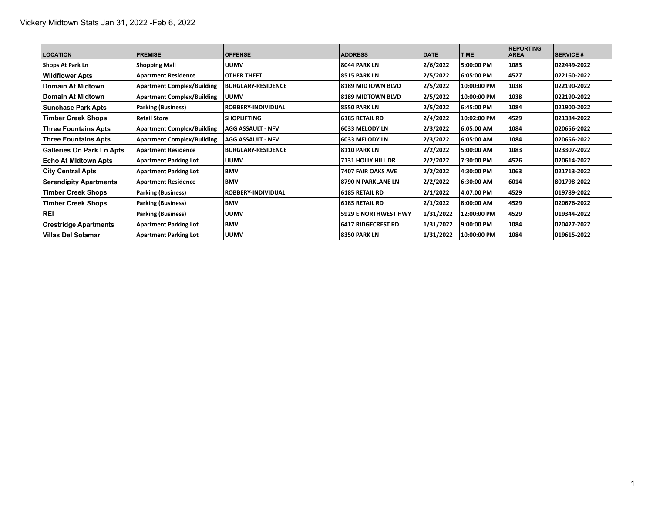| <b>LOCATION</b>                  | <b>PREMISE</b>                    | <b>OFFENSE</b>            | <b>ADDRESS</b>              | <b>DATE</b> | <b>TIME</b> | <b>REPORTING</b><br><b>AREA</b> | <b>SERVICE #</b> |
|----------------------------------|-----------------------------------|---------------------------|-----------------------------|-------------|-------------|---------------------------------|------------------|
| Shops At Park Ln                 | <b>Shopping Mall</b>              | <b>UUMV</b>               | <b>8044 PARK LN</b>         | 2/6/2022    | 5:00:00 PM  | 1083                            | 022449-2022      |
| <b>Wildflower Apts</b>           | <b>Apartment Residence</b>        | <b>OTHER THEFT</b>        | <b>8515 PARK LN</b>         | 2/5/2022    | 6:05:00 PM  | 4527                            | 022160-2022      |
| ∣Domain At Midtown∣              | <b>Apartment Complex/Building</b> | <b>BURGLARY RESIDENCE</b> | <b>8189 MIDTOWN BLVD</b>    | 2/5/2022    | 10:00:00 PM | 1038                            | 022190-2022      |
| ∣Domain At Midtown∣              | <b>Apartment Complex/Building</b> | <b>UUMV</b>               | <b>8189 MIDTOWN BLVD</b>    | 2/5/2022    | 10:00:00 PM | 1038                            | 022190-2022      |
| Sunchase Park Apts               | <b>Parking (Business)</b>         | <b>ROBBERY-INDIVIDUAL</b> | <b>8550 PARK LN</b>         | 2/5/2022    | 6:45:00 PM  | 1084                            | 021900-2022      |
| <b>Timber Creek Shops</b>        | <b>Retail Store</b>               | <b>SHOPLIFTING</b>        | <b>6185 RETAIL RD</b>       | 2/4/2022    | 10:02:00 PM | 4529                            | 021384-2022      |
| <b>Three Fountains Apts</b>      | <b>Apartment Complex/Building</b> | <b>AGG ASSAULT - NFV</b>  | 6033 MELODY LN              | 2/3/2022    | 6:05:00 AM  | 1084                            | 020656-2022      |
| <b>Three Fountains Apts</b>      | <b>Apartment Complex/Building</b> | AGG ASSAULT - NFV         | 6033 MELODY LN              | 2/3/2022    | 6:05:00 AM  | 1084                            | 020656-2022      |
| <b>Galleries On Park Ln Apts</b> | <b>Apartment Residence</b>        | <b>BURGLARY RESIDENCE</b> | <b>8110 PARK LN</b>         | 2/2/2022    | 5:00:00 AM  | 1083                            | 023307-2022      |
| <b>Echo At Midtown Apts</b>      | <b>Apartment Parking Lot</b>      | <b>UUMV</b>               | 7131 HOLLY HILL DR          | 2/2/2022    | 7:30:00 PM  | 4526                            | 020614-2022      |
| <b>City Central Apts</b>         | <b>Apartment Parking Lot</b>      | <b>BMV</b>                | 7407 FAIR OAKS AVE          | 2/2/2022    | 14:30:00 PM | 1063                            | 021713 2022      |
| <b>Serendipity Apartments</b>    | <b>Apartment Residence</b>        | <b>BMV</b>                | 8790 N PARKLANE LN          | 2/2/2022    | 6:30:00 AM  | 6014                            | 801798-2022      |
| <b>Timber Creek Shops</b>        | <b>Parking (Business)</b>         | <b>ROBBERY-INDIVIDUAL</b> | <b>6185 RETAIL RD</b>       | 2/1/2022    | 4:07:00 PM  | 4529                            | 019789-2022      |
| <b>Timber Creek Shops</b>        | <b>Parking (Business)</b>         | <b>BMV</b>                | <b>6185 RETAIL RD</b>       | 2/1/2022    | 8:00:00 AM  | 4529                            | 020676-2022      |
| <b>REI</b>                       | <b>Parking (Business)</b>         | <b>UUMV</b>               | <b>5929 E NORTHWEST HWY</b> | 1/31/2022   | 12:00:00 PM | 4529                            | 019344-2022      |
| <b>Crestridge Apartments</b>     | <b>Apartment Parking Lot</b>      | <b>BMV</b>                | <b>6417 RIDGECREST RD</b>   | 1/31/2022   | 9:00:00 PM  | 1084                            | 020427-2022      |
| Villas Del Solamar               | <b>Apartment Parking Lot</b>      | <b>UUMV</b>               | <b>8350 PARK LN</b>         | 1/31/2022   | 10:00:00 PM | 1084                            | 019615-2022      |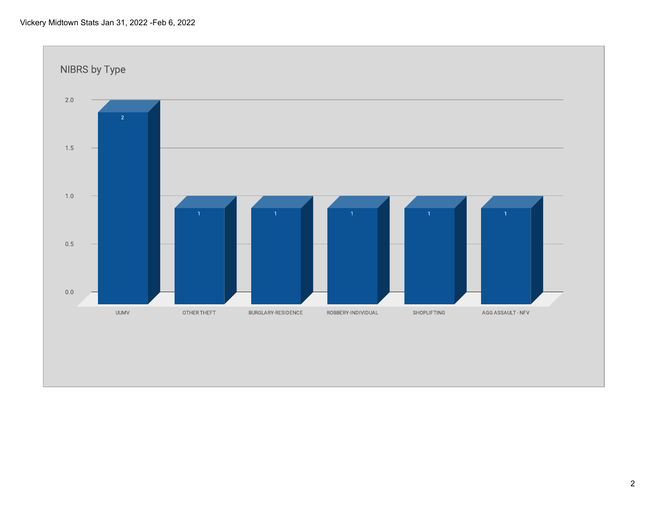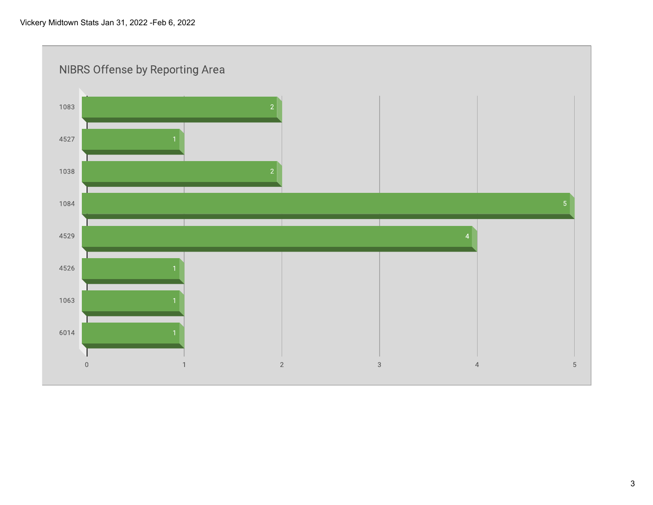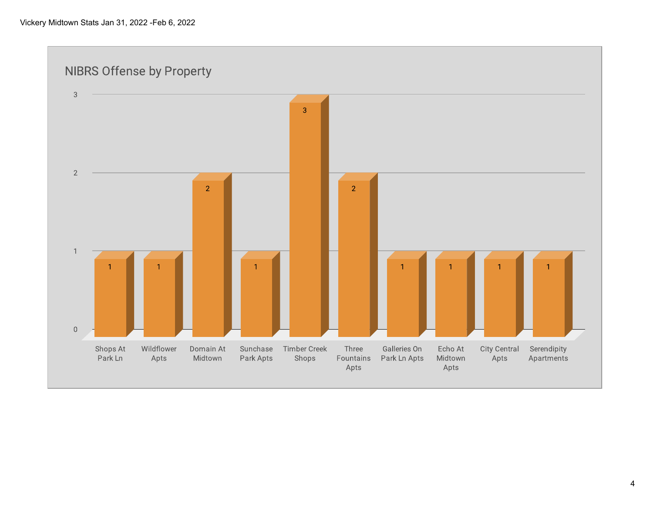